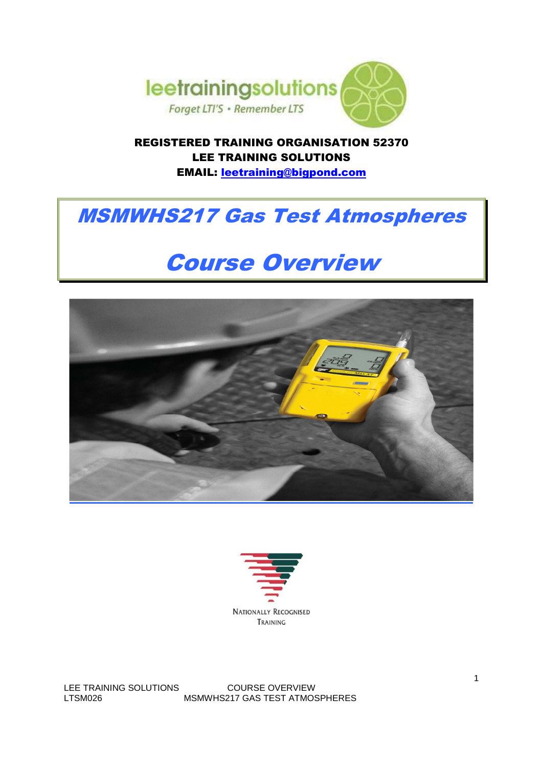

REGISTERED TRAINING ORGANISATION 52370 LEE TRAINING SOLUTIONS EMAIL: leetraining@bigpond.com

# MSMWHS217 Gas Test Atmospheres

# Course Overview





LEE TRAINING SOLUTIONS COURSE OVERVIEW LTSM026 MSMWHS217 GAS TEST ATMOSPHERES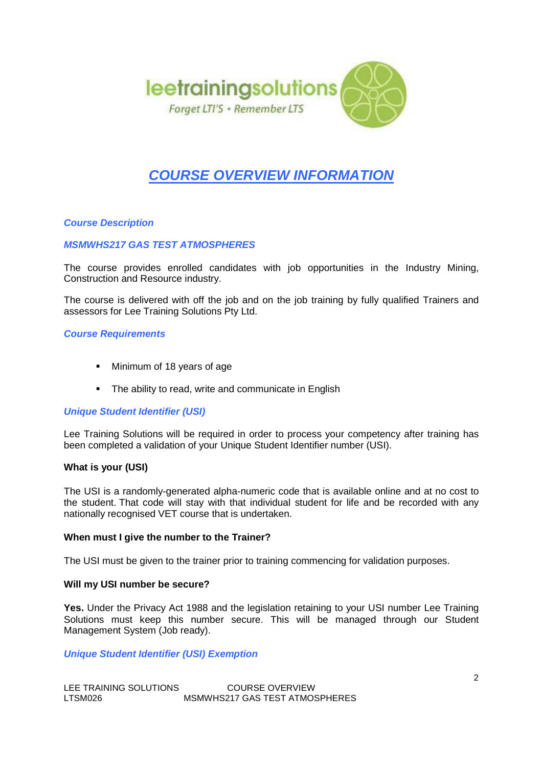

# **COURSE OVERVIEW INFORMATION**

# **Course Description**

# **MSMWHS217 GAS TEST ATMOSPHERES**

The course provides enrolled candidates with job opportunities in the Industry Mining, Construction and Resource industry.

The course is delivered with off the job and on the job training by fully qualified Trainers and assessors for Lee Training Solutions Pty Ltd.

### **Course Requirements**

- Minimum of 18 years of age
- The ability to read, write and communicate in English

### **Unique Student Identifier (USI)**

Lee Training Solutions will be required in order to process your competency after training has been completed a validation of your Unique Student Identifier number (USI).

### **What is your (USI)**

The USI is a randomly-generated alpha-numeric code that is available online and at no cost to the student. That code will stay with that individual student for life and be recorded with any nationally recognised VET course that is undertaken.

#### **When must I give the number to the Trainer?**

The USI must be given to the trainer prior to training commencing for validation purposes.

#### **Will my USI number be secure?**

**Yes.** Under the Privacy Act 1988 and the legislation retaining to your USI number Lee Training Solutions must keep this number secure. This will be managed through our Student Management System (Job ready).

**Unique Student Identifier (USI) Exemption**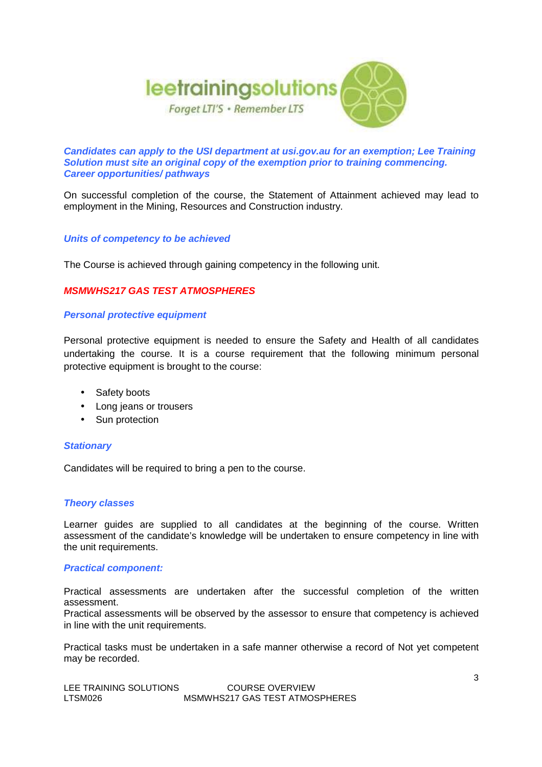

**Candidates can apply to the USI department at usi.gov.au for an exemption; Lee Training Solution must site an original copy of the exemption prior to training commencing. Career opportunities/ pathways** 

On successful completion of the course, the Statement of Attainment achieved may lead to employment in the Mining, Resources and Construction industry.

# **Units of competency to be achieved**

The Course is achieved through gaining competency in the following unit.

# **MSMWHS217 GAS TEST ATMOSPHERES**

### **Personal protective equipment**

Personal protective equipment is needed to ensure the Safety and Health of all candidates undertaking the course. It is a course requirement that the following minimum personal protective equipment is brought to the course:

- Safety boots
- Long jeans or trousers
- Sun protection

### **Stationary**

Candidates will be required to bring a pen to the course.

#### **Theory classes**

Learner guides are supplied to all candidates at the beginning of the course. Written assessment of the candidate's knowledge will be undertaken to ensure competency in line with the unit requirements.

### **Practical component:**

Practical assessments are undertaken after the successful completion of the written assessment.

Practical assessments will be observed by the assessor to ensure that competency is achieved in line with the unit requirements.

Practical tasks must be undertaken in a safe manner otherwise a record of Not yet competent may be recorded.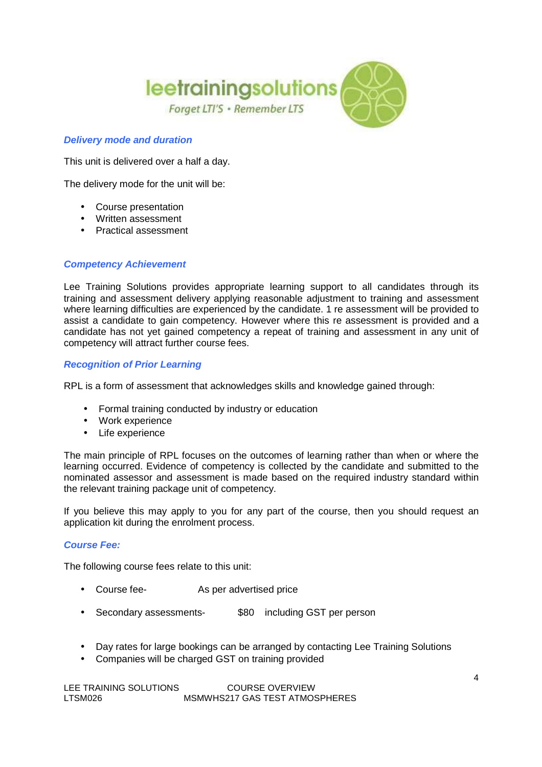

# **Delivery mode and duration**

This unit is delivered over a half a day.

The delivery mode for the unit will be:

- Course presentation
- Written assessment
- Practical assessment

# **Competency Achievement**

Lee Training Solutions provides appropriate learning support to all candidates through its training and assessment delivery applying reasonable adjustment to training and assessment where learning difficulties are experienced by the candidate. 1 re assessment will be provided to assist a candidate to gain competency. However where this re assessment is provided and a candidate has not yet gained competency a repeat of training and assessment in any unit of competency will attract further course fees.

# **Recognition of Prior Learning**

RPL is a form of assessment that acknowledges skills and knowledge gained through:

- Formal training conducted by industry or education
- Work experience
- Life experience

The main principle of RPL focuses on the outcomes of learning rather than when or where the learning occurred. Evidence of competency is collected by the candidate and submitted to the nominated assessor and assessment is made based on the required industry standard within the relevant training package unit of competency.

If you believe this may apply to you for any part of the course, then you should request an application kit during the enrolment process.

### **Course Fee:**

The following course fees relate to this unit:

- Course fee- As per advertised price
- Secondary assessments- \$80 including GST per person
- Day rates for large bookings can be arranged by contacting Lee Training Solutions
- Companies will be charged GST on training provided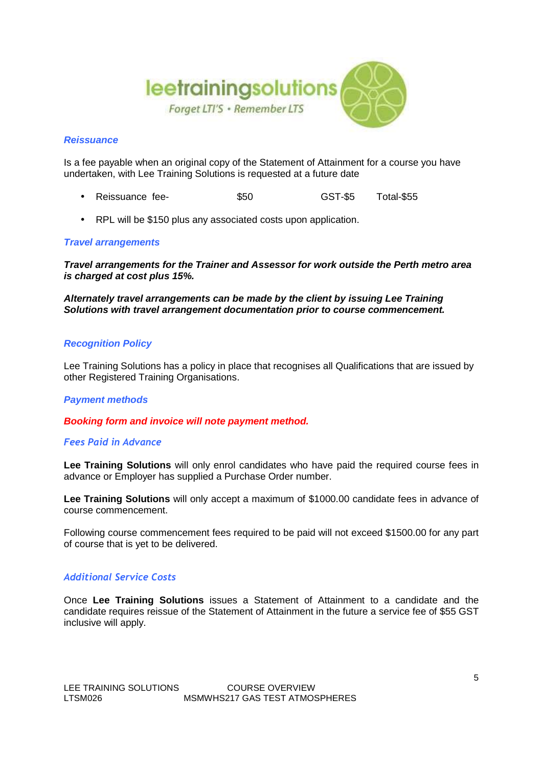

### **Reissuance**

Is a fee payable when an original copy of the Statement of Attainment for a course you have undertaken, with Lee Training Solutions is requested at a future date

- Reissuance fee-  $$50$  GST-\$5 Total-\$55
- RPL will be \$150 plus any associated costs upon application.

### **Travel arrangements**

**Travel arrangements for the Trainer and Assessor for work outside the Perth metro area is charged at cost plus 15%.**

**Alternately travel arrangements can be made by the client by issuing Lee Training Solutions with travel arrangement documentation prior to course commencement.**

#### **Recognition Policy**

Lee Training Solutions has a policy in place that recognises all Qualifications that are issued by other Registered Training Organisations.

#### **Payment methods**

**Booking form and invoice will note payment method.**

#### *Fees Paid in Advance*

**Lee Training Solutions** will only enrol candidates who have paid the required course fees in advance or Employer has supplied a Purchase Order number.

**Lee Training Solutions** will only accept a maximum of \$1000.00 candidate fees in advance of course commencement.

Following course commencement fees required to be paid will not exceed \$1500.00 for any part of course that is yet to be delivered.

## *Additional Service Costs*

Once **Lee Training Solutions** issues a Statement of Attainment to a candidate and the candidate requires reissue of the Statement of Attainment in the future a service fee of \$55 GST inclusive will apply.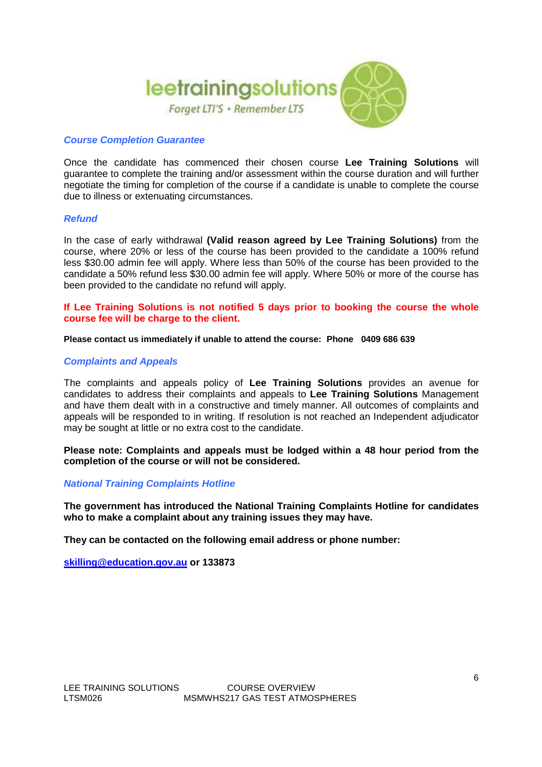

#### **Course Completion Guarantee**

Once the candidate has commenced their chosen course **Lee Training Solutions** will guarantee to complete the training and/or assessment within the course duration and will further negotiate the timing for completion of the course if a candidate is unable to complete the course due to illness or extenuating circumstances.

#### **Refund**

In the case of early withdrawal **(Valid reason agreed by Lee Training Solutions)** from the course, where 20% or less of the course has been provided to the candidate a 100% refund less \$30.00 admin fee will apply. Where less than 50% of the course has been provided to the candidate a 50% refund less \$30.00 admin fee will apply. Where 50% or more of the course has been provided to the candidate no refund will apply.

**If Lee Training Solutions is not notified 5 days prior to booking the course the whole course fee will be charge to the client.**

**Please contact us immediately if unable to attend the course: Phone 0409 686 639** 

#### **Complaints and Appeals**

The complaints and appeals policy of **Lee Training Solutions** provides an avenue for candidates to address their complaints and appeals to **Lee Training Solutions** Management and have them dealt with in a constructive and timely manner. All outcomes of complaints and appeals will be responded to in writing. If resolution is not reached an Independent adjudicator may be sought at little or no extra cost to the candidate.

**Please note: Complaints and appeals must be lodged within a 48 hour period from the completion of the course or will not be considered.**

#### **National Training Complaints Hotline**

**The government has introduced the National Training Complaints Hotline for candidates who to make a complaint about any training issues they may have.** 

**They can be contacted on the following email address or phone number:** 

**skilling@education.gov.au or 133873**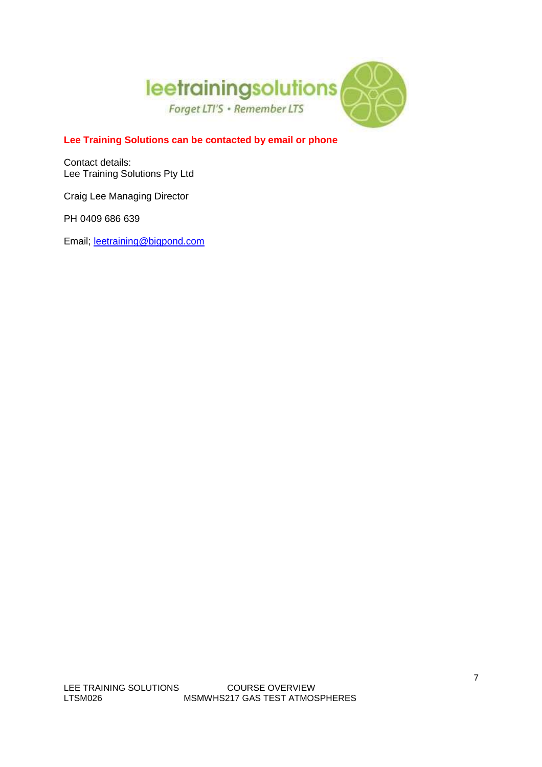

# **Lee Training Solutions can be contacted by email or phone**

Contact details: Lee Training Solutions Pty Ltd

Craig Lee Managing Director

PH 0409 686 639

Email; leetraining@bigpond.com